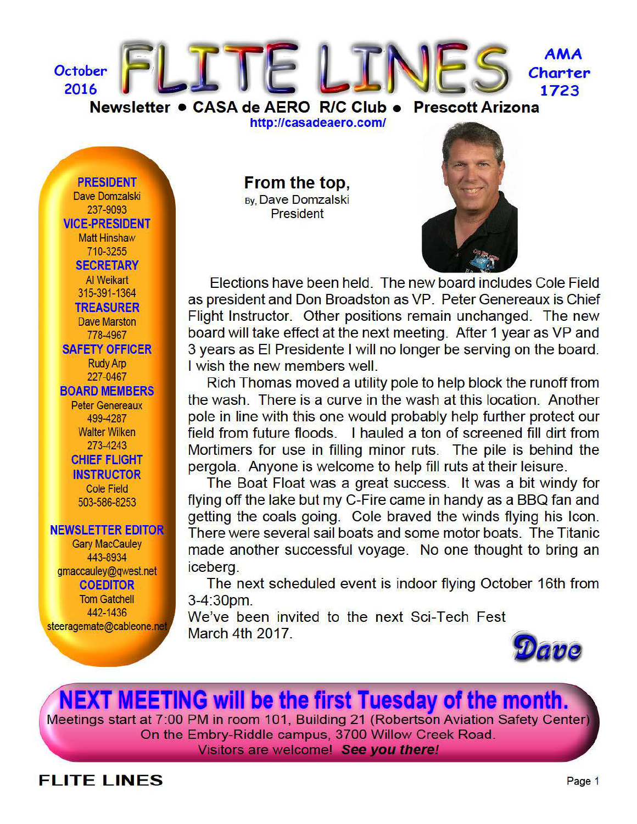

http://casadeaero.com/

**PRESIDENT** Dave Domzalski 237-9093 **VICE-PRESIDENT Matt Hinshaw** 710-3255 **SECRETARY** Al Weikart 315-391-1364 **TREASURER Dave Marston** 778-4967 **SAFETY OFFICER Rudy Arp** 227-0467 **BOARD MEMBERS Peter Genereaux** 499-4287 **Walter Wilken** 273-4243 **CHIEF FLIGHT INSTRUCTOR Cole Field** 503-586-8253

#### **NEWSLETTER EDITOR**

**Gary MacCauley** 443-8934 gmaccauley@gwest.net **COEDITOR Tom Gatchell** 442-1436 steeragemate@cableone.net From the top, **By, Dave Domzalski President** 



Elections have been held. The new board includes Cole Field as president and Don Broadston as VP. Peter Genereaux is Chief Flight Instructor. Other positions remain unchanged. The new board will take effect at the next meeting. After 1 year as VP and 3 years as El Presidente I will no longer be serving on the board. I wish the new members well.

Rich Thomas moved a utility pole to help block the runoff from the wash. There is a curve in the wash at this location. Another pole in line with this one would probably help further protect our field from future floods. I hauled a ton of screened fill dirt from Mortimers for use in filling minor ruts. The pile is behind the pergola. Anyone is welcome to help fill ruts at their leisure.

The Boat Float was a great success. It was a bit windy for flying off the lake but my C-Fire came in handy as a BBQ fan and getting the coals going. Cole braved the winds flying his Icon. There were several sail boats and some motor boats. The Titanic made another successful voyage. No one thought to bring an iceberg.

The next scheduled event is indoor flying October 16th from  $3-4:30$ pm.

We've been invited to the next Sci-Tech Fest **March 4th 2017.** 



# **NEXT MEETING will be the first Tuesday of the month.**

Meetings start at 7:00 PM in room 101, Building 21 (Robertson Aviation Safety Center) On the Embry-Riddle campus, 3700 Willow Creek Road. Visitors are welcome! See you there!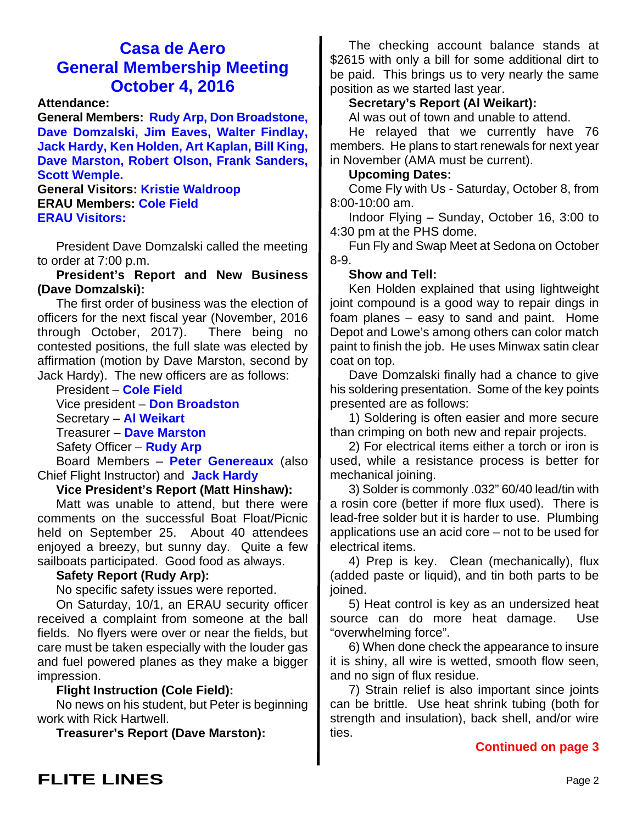### **Casa de Aero General Membership Meeting October 4, 2016**

#### **Attendance:**

**General Members: Rudy Arp, Don Broadstone, Dave Domzalski, Jim Eaves, Walter Findlay, Jack Hardy, Ken Holden, Art Kaplan, Bill King, Dave Marston, Robert Olson, Frank Sanders, Scott Wemple.**

**General Visitors: Kristie Waldroop ERAU Members: Cole Field ERAU Visitors:**

President Dave Domzalski called the meeting to order at 7:00 p.m.

**President's Report and New Business (Dave Domzalski):**

The first order of business was the election of officers for the next fiscal year (November, 2016 through October, 2017). There being no contested positions, the full slate was elected by affirmation (motion by Dave Marston, second by Jack Hardy). The new officers are as follows:

President – **Cole Field** Vice president – **Don Broadston**

Secretary – **Al Weikart**

Treasurer – **Dave Marston**

Safety Officer – **Rudy Arp**

Board Members – **Peter Genereaux** (also Chief Flight Instructor) and **Jack Hardy**

#### **Vice President's Report (Matt Hinshaw):**

Matt was unable to attend, but there were comments on the successful Boat Float/Picnic held on September 25. About 40 attendees enjoyed a breezy, but sunny day. Quite a few sailboats participated. Good food as always.

#### **Safety Report (Rudy Arp):**

No specific safety issues were reported.

On Saturday, 10/1, an ERAU security officer received a complaint from someone at the ball fields. No flyers were over or near the fields, but care must be taken especially with the louder gas and fuel powered planes as they make a bigger impression.

#### **Flight Instruction (Cole Field):**

No news on his student, but Peter is beginning work with Rick Hartwell.

**Treasurer's Report (Dave Marston):**

The checking account balance stands at \$2615 with only a bill for some additional dirt to be paid. This brings us to very nearly the same position as we started last year.

#### **Secretary's Report (Al Weikart):**

Al was out of town and unable to attend.

He relayed that we currently have 76 members. He plans to start renewals for next year in November (AMA must be current).

#### **Upcoming Dates:**

Come Fly with Us - Saturday, October 8, from 8:00-10:00 am.

Indoor Flying – Sunday, October 16, 3:00 to 4:30 pm at the PHS dome.

Fun Fly and Swap Meet at Sedona on October 8-9.

#### **Show and Tell:**

Ken Holden explained that using lightweight joint compound is a good way to repair dings in foam planes – easy to sand and paint. Home Depot and Lowe's among others can color match paint to finish the job. He uses Minwax satin clear coat on top.

Dave Domzalski finally had a chance to give his soldering presentation. Some of the key points presented are as follows:

1) Soldering is often easier and more secure than crimping on both new and repair projects.

2) For electrical items either a torch or iron is used, while a resistance process is better for mechanical joining.

3) Solder is commonly .032" 60/40 lead/tin with a rosin core (better if more flux used). There is lead-free solder but it is harder to use. Plumbing applications use an acid core – not to be used for electrical items.

4) Prep is key. Clean (mechanically), flux (added paste or liquid), and tin both parts to be joined.

5) Heat control is key as an undersized heat source can do more heat damage. Use "overwhelming force".

6) When done check the appearance to insure it is shiny, all wire is wetted, smooth flow seen, and no sign of flux residue.

7) Strain relief is also important since joints can be brittle. Use heat shrink tubing (both for strength and insulation), back shell, and/or wire ties.

#### **Continued on page 3**

### **FLITE LINES** Page 2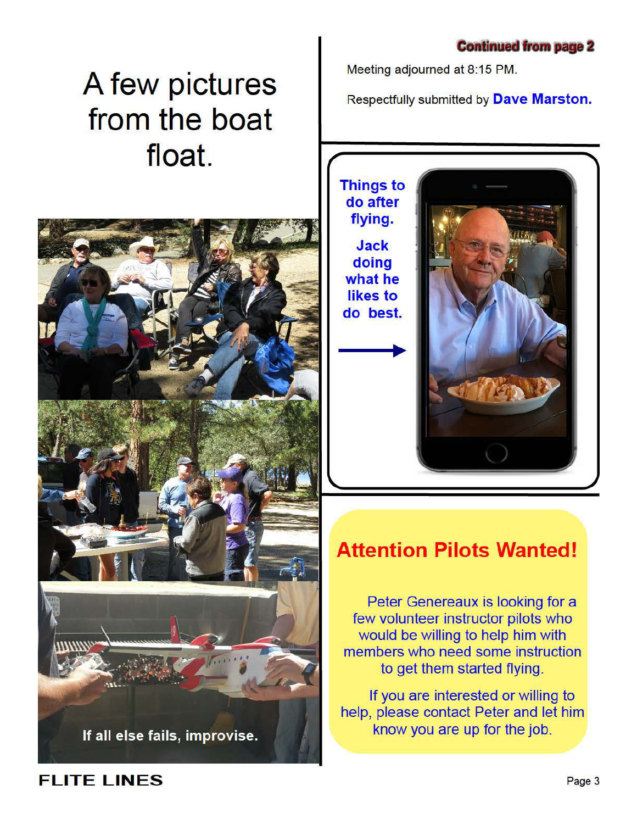# A few pictures from the boat float.



Meeting adjourned at 8:15 PM.

Respectfully submitted by Dave Marston.

**Things to** do after flying.

**Jack** doing what he likes to do best.



# **Attention Pilots Wanted!**

Peter Genereaux is looking for a few volunteer instructor pilots who would be willing to help him with members who need some instruction to get them started flying.

If you are interested or willing to help, please contact Peter and let him know you are up for the job.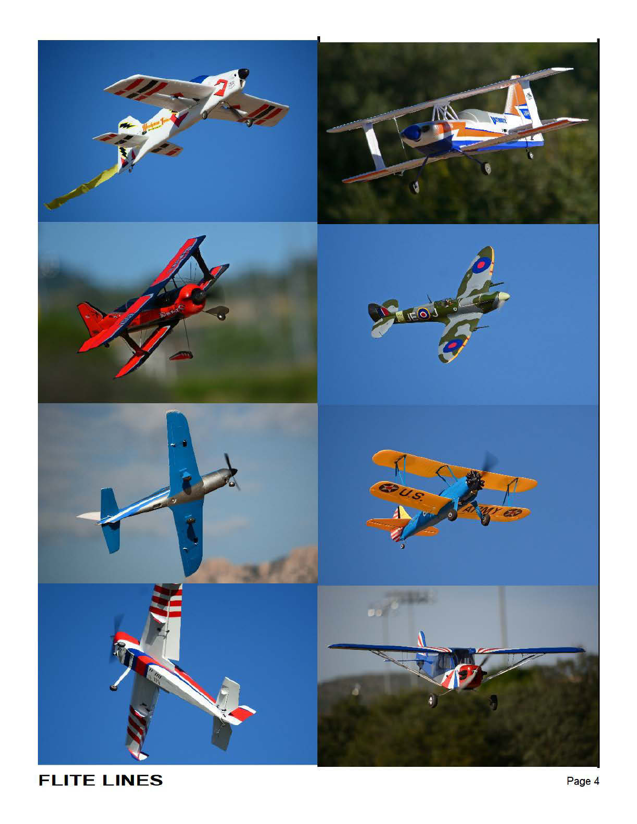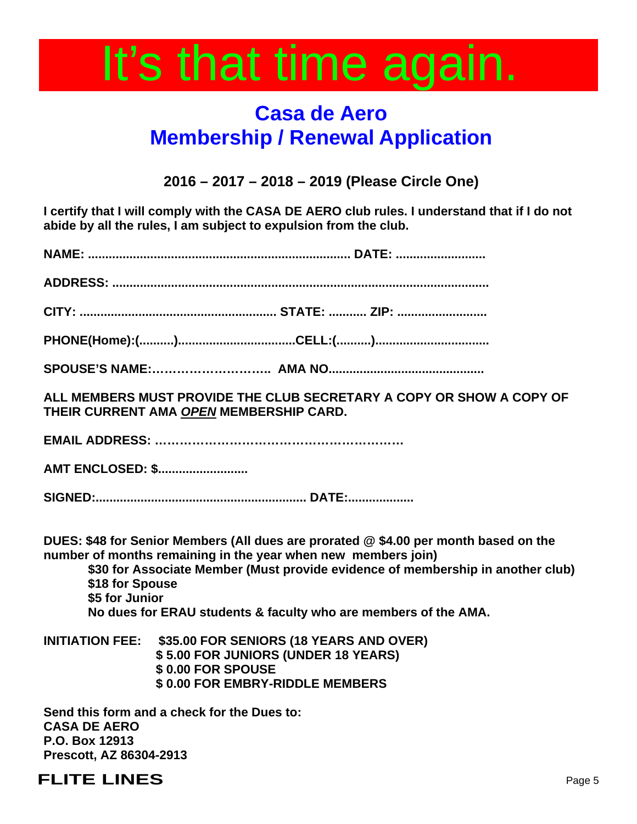

# **Casa de Aero Membership / Renewal Application**

**2016 – 2017 – 2018 – 2019 (Please Circle One)**

**I certify that I will comply with the CASA DE AERO club rules. I understand that if I do not abide by all the rules, I am subject to expulsion from the club.**

**NAME: ............................................................................ DATE: ..........................**

**ADDRESS: .............................................................................................................**

**CITY: ......................................................... STATE: ........... ZIP: ..........................**

**PHONE(Home):(..........)..................................CELL:(..........).................................**

**SPOUSE'S NAME:……………………….. AMA NO.............................................**

**ALL MEMBERS MUST PROVIDE THE CLUB SECRETARY A COPY OR SHOW A COPY OF THEIR CURRENT AMA** *OPEN* **MEMBERSHIP CARD.**

**EMAIL ADDRESS: ……………………………………………………**

**AMT ENCLOSED: \$..........................**

**SIGNED:............................................................. DATE:...................**

**DUES: \$48 for Senior Members (All dues are prorated @ \$4.00 per month based on the number of months remaining in the year when new members join)**

**\$30 for Associate Member (Must provide evidence of membership in another club) \$18 for Spouse \$5 for Junior No dues for ERAU students & faculty who are members of the AMA.**

**INITIATION FEE: \$35.00 FOR SENIORS (18 YEARS AND OVER) \$ 5.00 FOR JUNIORS (UNDER 18 YEARS) \$ 0.00 FOR SPOUSE \$ 0.00 FOR EMBRY-RIDDLE MEMBERS**

**Send this form and a check for the Dues to: CASA DE AERO P.O. Box 12913 Prescott, AZ 86304-2913**

## **FLITE LINES** Page 5